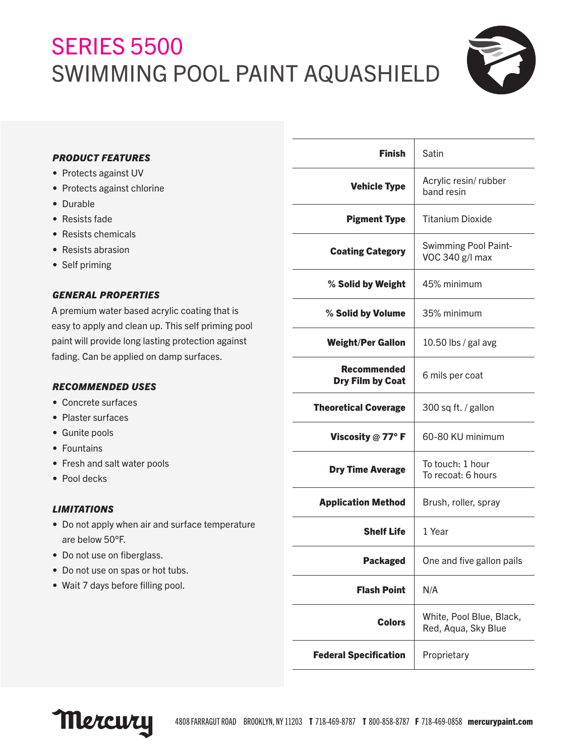## **SERIES 5500** SWIMMING POOL PAINT AQUASHIELD



#### *PRODUCT FEATURES*

- Protects against UV
- Protects against chlorine
- Durable
- Resists fade
- Resists chemicals
- Resists abrasion
- Self priming

#### *GENERAL PROPERTIES*

A premium water based acrylic coating that is easy to apply and clean up. This self priming pool paint will provide long lasting protection against fading. Can be applied on damp surfaces.

#### *RECOMMENDED USES*

- Concrete surfaces
- Plaster surfaces
- Gunite pools
- Fountains
- Fresh and salt water pools
- Pool decks

#### *LIMITATIONS*

- Do not apply when air and surface temperature are below 50°F.
- Do not use on fiberglass.
- Do not use on spas or hot tubs.
- Wait 7 days before filling pool.

| <b>Finish</b>                   | Satin                                           |
|---------------------------------|-------------------------------------------------|
| <b>Vehicle Type</b>             | Acrylic resin/rubber<br>band resin              |
| <b>Pigment Type</b>             | <b>Titanium Dioxide</b>                         |
| <b>Coating Category</b>         | <b>Swimming Pool Paint-</b><br>VOC 340 g/l max  |
| % Solid by Weight               | 45% minimum                                     |
| % Solid by Volume               | 35% minimum                                     |
| <b>Weight/Per Gallon</b>        | 10.50 lbs / gal avg                             |
| Recommended<br>Dry Film by Coat | 6 mils per coat                                 |
| <b>Theoretical Coverage</b>     | 300 sq ft. / gallon                             |
| Viscosity $@$ 77° F             | 60-80 KU minimum                                |
| <b>Dry Time Average</b>         | To touch: 1 hour<br>To recoat: 6 hours          |
| <b>Application Method</b>       | Brush, roller, spray                            |
| <b>Shelf Life</b>               | 1 Year                                          |
| <b>Packaged</b>                 | One and five gallon pails                       |
| <b>Flash Point</b>              | N/A                                             |
| <b>Colors</b>                   | White, Pool Blue, Black,<br>Red, Aqua, Sky Blue |
| <b>Federal Specification</b>    | Proprietary                                     |